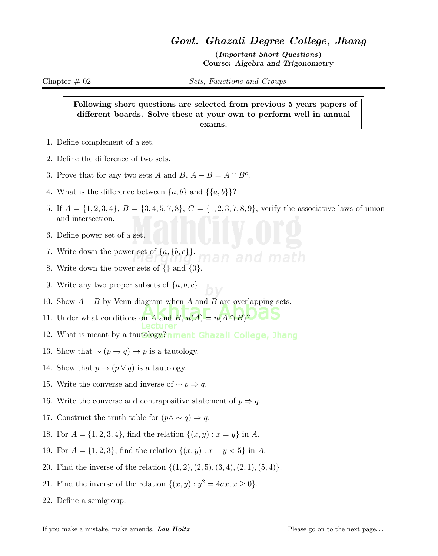## Govt. Ghazali Degree College, Jhang

(Important Short Questions) Course: Algebra and Trigonometry

Chapter  $\#$  02 Sets, Functions and Groups

Following short questions are selected from previous 5 years papers of different boards. Solve these at your own to perform well in annual exams.

- 1. Define complement of a set.
- 2. Define the difference of two sets.
- 3. Prove that for any two sets A and B,  $A B = A \cap B^c$ .
- 4. What is the difference between  $\{a, b\}$  and  $\{\{a, b\}\}$ ?
- 5. If  $A = \{1, 2, 3, 4\}, B = \{3, 4, 5, 7, 8\}, C = \{1, 2, 3, 7, 8, 9\}$ , verify the associative laws of union and intersection.
- 6. Define power set of a set.
- 7. Write down the power set of  $\{a, \{b, c\}\}.$
- 8. Write down the power sets of  $\{ \}$  and  $\{ 0 \}$ .
- 9. Write any two proper subsets of  $\{a, b, c\}$ .
- 10. Show  $A B$  by Venn diagram when A and B are overlapping sets.
- 11. Under what conditions on A and B,  $n(A) = n(A \cap B)$ ?
- 12. What is meant by a tautology?nment Ghazall College, Jhang
- 13. Show that  $\sim (p \to q) \to p$  is a tautology.
- 14. Show that  $p \to (p \lor q)$  is a tautology.
- 15. Write the converse and inverse of  $\sim p \Rightarrow q$ .
- 16. Write the converse and contrapositive statement of  $p \Rightarrow q$ .
- 17. Construct the truth table for  $(p \land \sim q) \Rightarrow q$ .
- 18. For  $A = \{1, 2, 3, 4\}$ , find the relation  $\{(x, y) : x = y\}$  in A.
- 19. For  $A = \{1, 2, 3\}$ , find the relation  $\{(x, y) : x + y < 5\}$  in A.
- 20. Find the inverse of the relation  $\{(1, 2), (2, 5), (3, 4), (2, 1), (5, 4)\}.$
- 21. Find the inverse of the relation  $\{(x, y) : y^2 = 4ax, x \ge 0\}.$
- 22. Define a semigroup.